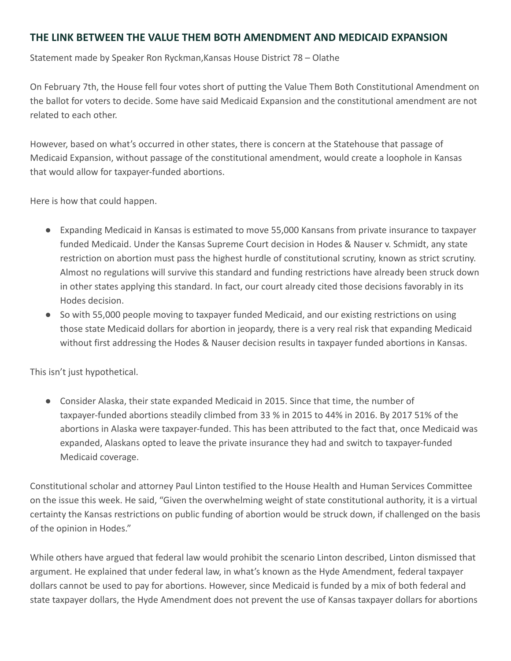## **THE LINK BETWEEN THE VALUE THEM BOTH AMENDMENT AND MEDICAID EXPANSION**

Statement made by Speaker Ron Ryckman,Kansas House District 78 – Olathe

On February 7th, the House fell four votes short of putting the Value Them Both Constitutional Amendment on the ballot for voters to decide. Some have said Medicaid Expansion and the constitutional amendment are not related to each other.

However, based on what's occurred in other states, there is concern at the Statehouse that passage of Medicaid Expansion, without passage of the constitutional amendment, would create a loophole in Kansas that would allow for taxpayer-funded abortions.

Here is how that could happen.

- Expanding Medicaid in Kansas is estimated to move 55,000 Kansans from private insurance to taxpayer funded Medicaid. Under the Kansas Supreme Court decision in Hodes & Nauser v. Schmidt, any state restriction on abortion must pass the highest hurdle of constitutional scrutiny, known as strict scrutiny. Almost no regulations will survive this standard and funding restrictions have already been struck down in other states applying this standard. In fact, our court already cited those decisions favorably in its Hodes decision.
- So with 55,000 people moving to taxpayer funded Medicaid, and our existing restrictions on using those state Medicaid dollars for abortion in jeopardy, there is a very real risk that expanding Medicaid without first addressing the Hodes & Nauser decision results in taxpayer funded abortions in Kansas.

This isn't just hypothetical.

● Consider Alaska, their state expanded Medicaid in 2015. Since that time, the number of taxpayer-funded abortions steadily climbed from 33 % in 2015 to 44% in 2016. By 2017 51% of the abortions in Alaska were taxpayer-funded. This has been attributed to the fact that, once Medicaid was expanded, Alaskans opted to leave the private insurance they had and switch to taxpayer-funded Medicaid coverage.

Constitutional scholar and attorney Paul Linton testified to the House Health and Human Services Committee on the issue this week. He said, "Given the overwhelming weight of state constitutional authority, it is a virtual certainty the Kansas restrictions on public funding of abortion would be struck down, if challenged on the basis of the opinion in Hodes."

While others have argued that federal law would prohibit the scenario Linton described, Linton dismissed that argument. He explained that under federal law, in what's known as the Hyde Amendment, federal taxpayer dollars cannot be used to pay for abortions. However, since Medicaid is funded by a mix of both federal and state taxpayer dollars, the Hyde Amendment does not prevent the use of Kansas taxpayer dollars for abortions